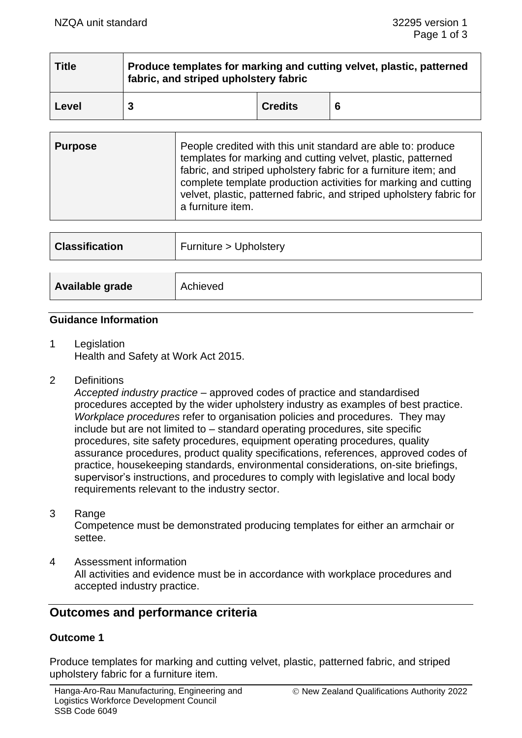| <b>Title</b> | Produce templates for marking and cutting velvet, plastic, patterned<br>fabric, and striped upholstery fabric |                |  |
|--------------|---------------------------------------------------------------------------------------------------------------|----------------|--|
| Level        |                                                                                                               | <b>Credits</b> |  |

| <b>Purpose</b> | People credited with this unit standard are able to: produce<br>templates for marking and cutting velvet, plastic, patterned<br>fabric, and striped upholstery fabric for a furniture item; and<br>complete template production activities for marking and cutting<br>velvet, plastic, patterned fabric, and striped upholstery fabric for |
|----------------|--------------------------------------------------------------------------------------------------------------------------------------------------------------------------------------------------------------------------------------------------------------------------------------------------------------------------------------------|
|                | a furniture item.                                                                                                                                                                                                                                                                                                                          |

| <b>Classification</b> | Furniture > Upholstery |
|-----------------------|------------------------|
|                       |                        |
| Available grade       | Achieved               |

### **Guidance Information**

- 1 Legislation Health and Safety at Work Act 2015.
- 2 Definitions

*Accepted industry practice* – approved codes of practice and standardised procedures accepted by the wider upholstery industry as examples of best practice. *Workplace procedures* refer to organisation policies and procedures. They may include but are not limited to – standard operating procedures, site specific procedures, site safety procedures, equipment operating procedures, quality assurance procedures, product quality specifications, references, approved codes of practice, housekeeping standards, environmental considerations, on-site briefings, supervisor's instructions, and procedures to comply with legislative and local body requirements relevant to the industry sector.

- 3 Range Competence must be demonstrated producing templates for either an armchair or settee.
- 4 Assessment information All activities and evidence must be in accordance with workplace procedures and accepted industry practice.

# **Outcomes and performance criteria**

## **Outcome 1**

Produce templates for marking and cutting velvet, plastic, patterned fabric, and striped upholstery fabric for a furniture item.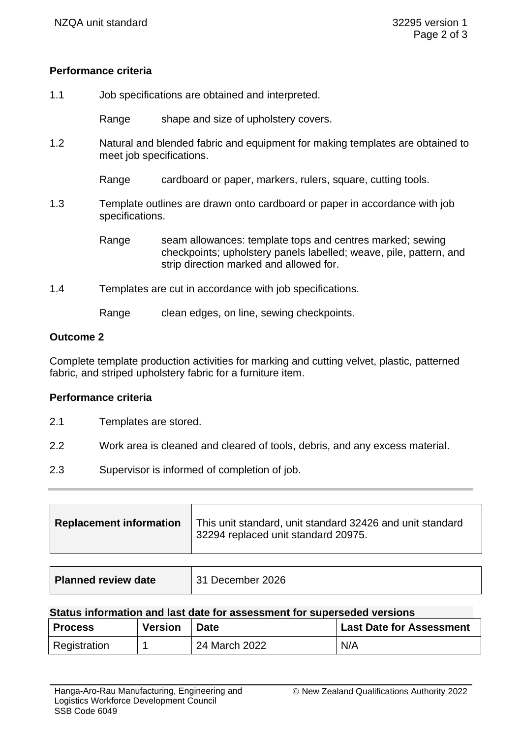## **Performance criteria**

1.1 Job specifications are obtained and interpreted.

Range shape and size of upholstery covers.

1.2 Natural and blended fabric and equipment for making templates are obtained to meet job specifications.

Range cardboard or paper, markers, rulers, square, cutting tools.

1.3 Template outlines are drawn onto cardboard or paper in accordance with job specifications.

> Range seam allowances: template tops and centres marked; sewing checkpoints; upholstery panels labelled; weave, pile, pattern, and strip direction marked and allowed for.

1.4 Templates are cut in accordance with job specifications.

Range clean edges, on line, sewing checkpoints.

#### **Outcome 2**

Complete template production activities for marking and cutting velvet, plastic, patterned fabric, and striped upholstery fabric for a furniture item.

### **Performance criteria**

- 2.1 Templates are stored.
- 2.2 Work area is cleaned and cleared of tools, debris, and any excess material.
- 2.3 Supervisor is informed of completion of job.

| Replacement information | This unit standard, unit standard 32426 and unit standard<br>32294 replaced unit standard 20975. |
|-------------------------|--------------------------------------------------------------------------------------------------|
|                         |                                                                                                  |

| <b>Planned review date</b> | 31 December 2026 |
|----------------------------|------------------|
|----------------------------|------------------|

#### **Status information and last date for assessment for superseded versions**

| <b>Process</b> | <b>Version</b> | <b>Date</b>   | Last Date for Assessment |
|----------------|----------------|---------------|--------------------------|
| Registration   |                | 24 March 2022 | N/A                      |